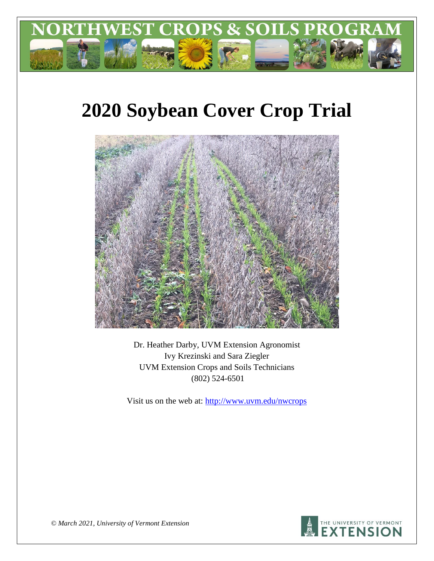

# **2020 Soybean Cover Crop Trial**



Dr. Heather Darby, UVM Extension Agronomist Ivy Krezinski and Sara Ziegler UVM Extension Crops and Soils Technicians (802) 524-6501

Visit us on the web at: <http://www.uvm.edu/nwcrops>



*© March 2021, University of Vermont Extension*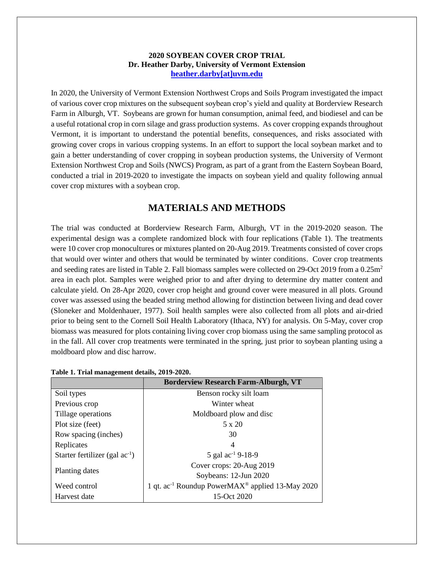### **2020 SOYBEAN COVER CROP TRIAL Dr. Heather Darby, University of Vermont Extension [heather.darby\[at\]uvm.edu](mailto:heather.darby@uvm.edu?subject=2012%20Short%20Season%20Corn%20Report)**

In 2020, the University of Vermont Extension Northwest Crops and Soils Program investigated the impact of various cover crop mixtures on the subsequent soybean crop's yield and quality at Borderview Research Farm in Alburgh, VT. Soybeans are grown for human consumption, animal feed, and biodiesel and can be a useful rotational crop in corn silage and grass production systems. As cover cropping expands throughout Vermont, it is important to understand the potential benefits, consequences, and risks associated with growing cover crops in various cropping systems. In an effort to support the local soybean market and to gain a better understanding of cover cropping in soybean production systems, the University of Vermont Extension Northwest Crop and Soils (NWCS) Program, as part of a grant from the Eastern Soybean Board, conducted a trial in 2019-2020 to investigate the impacts on soybean yield and quality following annual cover crop mixtures with a soybean crop.

# **MATERIALS AND METHODS**

The trial was conducted at Borderview Research Farm, Alburgh, VT in the 2019-2020 season. The experimental design was a complete randomized block with four replications (Table 1). The treatments were 10 cover crop monocultures or mixtures planted on 20-Aug 2019. Treatments consisted of cover crops that would over winter and others that would be terminated by winter conditions. Cover crop treatments and seeding rates are listed in Table 2. Fall biomass samples were collected on 29-Oct 2019 from a 0.25m<sup>2</sup> area in each plot. Samples were weighed prior to and after drying to determine dry matter content and calculate yield. On 28-Apr 2020, cover crop height and ground cover were measured in all plots. Ground cover was assessed using the beaded string method allowing for distinction between living and dead cover (Sloneker and Moldenhauer, 1977). Soil health samples were also collected from all plots and air-dried prior to being sent to the Cornell Soil Health Laboratory (Ithaca, NY) for analysis. On 5-May, cover crop biomass was measured for plots containing living cover crop biomass using the same sampling protocol as in the fall. All cover crop treatments were terminated in the spring, just prior to soybean planting using a moldboard plow and disc harrow.

|                                     | <b>Borderview Research Farm-Alburgh, VT</b>                              |
|-------------------------------------|--------------------------------------------------------------------------|
| Soil types                          | Benson rocky silt loam                                                   |
| Previous crop                       | Winter wheat                                                             |
| Tillage operations                  | Moldboard plow and disc                                                  |
| Plot size (feet)                    | 5 x 20                                                                   |
| Row spacing (inches)                | 30                                                                       |
| Replicates                          | 4                                                                        |
| Starter fertilizer (gal $ac^{-1}$ ) | 5 gal $\text{ac}^{-1}$ 9-18-9                                            |
|                                     | Cover crops: 20-Aug 2019                                                 |
| Planting dates                      | Soybeans: 12-Jun 2020                                                    |
| Weed control                        | 1 qt. ac <sup>-1</sup> Roundup PowerMAX <sup>®</sup> applied 13-May 2020 |
| Harvest date                        | 15-Oct 2020                                                              |

|  | Table 1. Trial management details, 2019-2020. |  |
|--|-----------------------------------------------|--|
|  |                                               |  |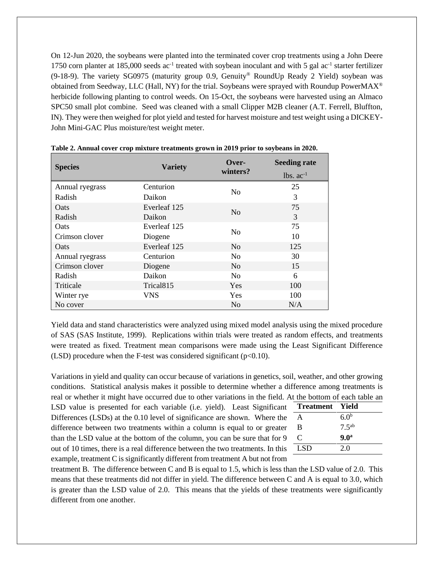On 12-Jun 2020, the soybeans were planted into the terminated cover crop treatments using a John Deere 1750 corn planter at 185,000 seeds ac<sup>-1</sup> treated with soybean inoculant and with 5 gal ac<sup>-1</sup> starter fertilizer (9-18-9). The variety SG0975 (maturity group 0.9, Genuity® RoundUp Ready 2 Yield) soybean was obtained from Seedway, LLC (Hall, NY) for the trial. Soybeans were sprayed with Roundup PowerMAX® herbicide following planting to control weeds. On 15-Oct, the soybeans were harvested using an Almaco SPC50 small plot combine. Seed was cleaned with a small Clipper M2B cleaner (A.T. Ferrell, Bluffton, IN). They were then weighed for plot yield and tested for harvest moisture and test weight using a DICKEY-John Mini-GAC Plus moisture/test weight meter.

| <b>Species</b>  | <b>Variety</b>        | Over-          | <b>Seeding rate</b> |
|-----------------|-----------------------|----------------|---------------------|
|                 |                       | winters?       | $lbs. ac-1$         |
| Annual ryegrass | Centurion             | N <sub>0</sub> | 25                  |
| Radish          | Daikon                |                | 3                   |
| <b>O</b> ats    | Everleaf 125          | N <sub>o</sub> | 75                  |
| Radish          | Daikon                |                | 3                   |
| Oats            | Everleaf 125          | N <sub>0</sub> | 75                  |
| Crimson clover  | Diogene               |                | 10                  |
| <b>O</b> ats    | Everleaf 125          | N <sub>o</sub> | 125                 |
| Annual ryegrass | Centurion             | N <sub>o</sub> | 30                  |
| Crimson clover  | Diogene               | N <sub>0</sub> | 15                  |
| Radish          | Daikon                | N <sub>0</sub> | 6                   |
| Triticale       | Trical <sub>815</sub> | Yes            | 100                 |
| Winter rye      | VNS                   | Yes            | 100                 |
| No cover        |                       | N <sub>o</sub> | N/A                 |

**Table 2. Annual cover crop mixture treatments grown in 2019 prior to soybeans in 2020.**

Yield data and stand characteristics were analyzed using mixed model analysis using the mixed procedure of SAS (SAS Institute, 1999). Replications within trials were treated as random effects, and treatments were treated as fixed. Treatment mean comparisons were made using the Least Significant Difference (LSD) procedure when the F-test was considered significant  $(p<0.10)$ .

Variations in yield and quality can occur because of variations in genetics, soil, weather, and other growing conditions. Statistical analysis makes it possible to determine whether a difference among treatments is real or whether it might have occurred due to other variations in the field. At th

LSD value is presented for each variable (i.e. yield). Least Significant Differences  $(LSDs)$  at the 0.10 level of significance are shown. Where the difference between two treatments within a column is equal to or greaterthan the LSD value at the bottom of the column, you can be sure that for 9 out of 10 times, there is a real difference between the two treatments. In this example, treatment C is significantly different from treatment A but not from

|              |                    | t. At the bottom of each table an |
|--------------|--------------------|-----------------------------------|
|              | nt Treatment Yield |                                   |
| e ne         | A                  | 6.0 <sup>b</sup>                  |
| er           | B                  | $7.5^{ab}$                        |
| $\mathbf{Q}$ | C                  | 9.0 <sup>a</sup>                  |
| is           | - LSD              | 2.0                               |
|              |                    |                                   |

treatment B. The difference between C and B is equal to 1.5, which is less than the LSD value of 2.0. This means that these treatments did not differ in yield. The difference between C and A is equal to 3.0, which is greater than the LSD value of 2.0. This means that the yields of these treatments were significantly different from one another.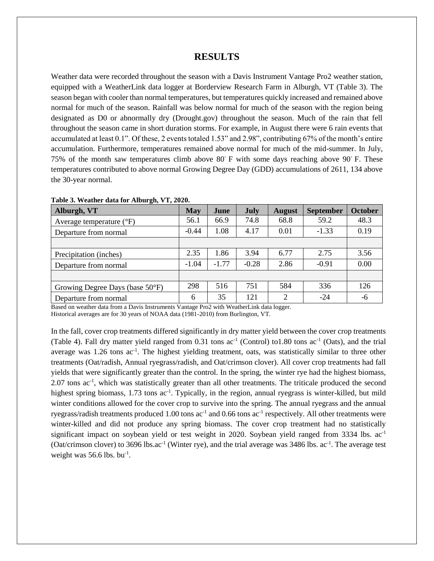## **RESULTS**

Weather data were recorded throughout the season with a Davis Instrument Vantage Pro2 weather station, equipped with a WeatherLink data logger at Borderview Research Farm in Alburgh, VT (Table 3). The season began with cooler than normal temperatures, but temperatures quickly increased and remained above normal for much of the season. Rainfall was below normal for much of the season with the region being designated as D0 or abnormally dry (Drought.gov) throughout the season. Much of the rain that fell throughout the season came in short duration storms. For example, in August there were 6 rain events that accumulated at least 0.1". Of these, 2 events totaled 1.53" and 2.98", contributing 67% of the month's entire accumulation. Furthermore, temperatures remained above normal for much of the mid-summer. In July, 75% of the month saw temperatures climb above 80 $\degree$  F with some days reaching above 90 $\degree$  F. These temperatures contributed to above normal Growing Degree Day (GDD) accumulations of 2611, 134 above the 30-year normal.

| $\sim$ $\sim$<br>Alburgh, VT        | <b>May</b> | June    | <b>July</b> | <b>August</b> | <b>September</b> | <b>October</b> |
|-------------------------------------|------------|---------|-------------|---------------|------------------|----------------|
| Average temperature $({}^{\circ}F)$ | 56.1       | 66.9    | 74.8        | 68.8          | 59.2             | 48.3           |
| Departure from normal               | $-0.44$    | 1.08    | 4.17        | 0.01          | $-1.33$          | 0.19           |
|                                     |            |         |             |               |                  |                |
| Precipitation (inches)              | 2.35       | 1.86    | 3.94        | 6.77          | 2.75             | 3.56           |
| Departure from normal               | $-1.04$    | $-1.77$ | $-0.28$     | 2.86          | $-0.91$          | 0.00           |
|                                     |            |         |             |               |                  |                |
| Growing Degree Days (base 50°F)     | 298        | 516     | 751         | 584           | 336              | 126            |
| Departure from normal               | 6          | 35      | 121         | $\mathcal{D}$ | $-24$            | -6             |

#### **Table 3. Weather data for Alburgh, VT, 2020.**

Based on weather data from a Davis Instruments Vantage Pro2 with WeatherLink data logger.

Historical averages are for 30 years of NOAA data (1981-2010) from Burlington, VT.

In the fall, cover crop treatments differed significantly in dry matter yield between the cover crop treatments (Table 4). Fall dry matter yield ranged from  $0.31$  tons ac<sup>-1</sup> (Control) to1.80 tons ac<sup>-1</sup> (Oats), and the trial average was 1.26 tons ac<sup>-1</sup>. The highest yielding treatment, oats, was statistically similar to three other treatments (Oat/radish, Annual ryegrass/radish, and Oat/crimson clover). All cover crop treatments had fall yields that were significantly greater than the control. In the spring, the winter rye had the highest biomass, 2.07 tons ac<sup>-1</sup>, which was statistically greater than all other treatments. The triticale produced the second highest spring biomass, 1.73 tons ac<sup>-1</sup>. Typically, in the region, annual ryegrass is winter-killed, but mild winter conditions allowed for the cover crop to survive into the spring. The annual ryegrass and the annual ryegrass/radish treatments produced 1.00 tons  $ac^{-1}$  and 0.66 tons  $ac^{-1}$  respectively. All other treatments were winter-killed and did not produce any spring biomass. The cover crop treatment had no statistically significant impact on soybean yield or test weight in 2020. Soybean yield ranged from 3334 lbs. ac<sup>-1</sup> (Oat/crimson clover) to 3696 lbs.ac<sup>-1</sup> (Winter rye), and the trial average was 3486 lbs. ac<sup>-1</sup>. The average test weight was  $56.6$  lbs. bu<sup>-1</sup>.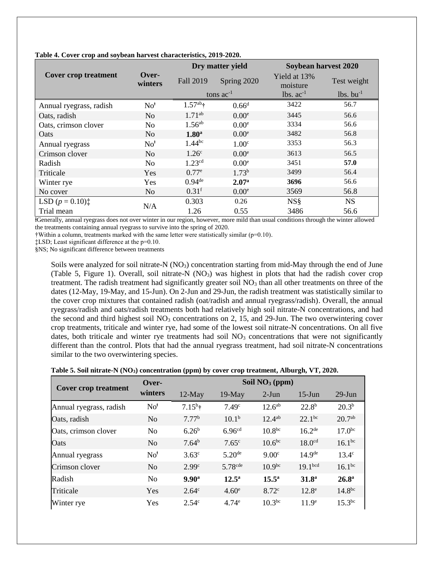|                                                   |                  |                      | Dry matter yield  | Soybean harvest 2020     |                         |  |
|---------------------------------------------------|------------------|----------------------|-------------------|--------------------------|-------------------------|--|
| <b>Cover crop treatment</b>                       | Over-<br>winters | <b>Fall 2019</b>     | Spring 2020       | Yield at 13%<br>moisture | Test weight             |  |
|                                                   |                  |                      | tons $ac^{-1}$    | $lbs. ac-1$              | $lbs.$ bu <sup>-1</sup> |  |
| Annual ryegrass, radish                           | No <sup>†</sup>  | $1.57^{ab}$ †        | $0.66^d$          | 3422                     | 56.7                    |  |
| Oats, radish                                      | No               | $1.71^{ab}$          | 0.00 <sup>e</sup> | 3445                     | 56.6                    |  |
| Oats, crimson clover                              | No               | 1.56 <sup>ab</sup>   | 0.00 <sup>e</sup> | 3334                     | 56.6                    |  |
| Oats                                              | N <sub>o</sub>   | 1.80 <sup>a</sup>    | 0.00 <sup>e</sup> | 3482                     | 56.8                    |  |
| Annual ryegrass                                   | No <sup>†</sup>  | 1.44 <sup>bc</sup>   | 1.00 <sup>c</sup> | 3353                     | 56.3                    |  |
| Crimson clover                                    | N <sub>o</sub>   | 1.26 <sup>c</sup>    | 0.00 <sup>e</sup> | 3613                     | 56.5                    |  |
| Radish                                            | N <sub>o</sub>   | 1.23 <sup>cd</sup>   | 0.00 <sup>e</sup> | 3451                     | 57.0                    |  |
| Triticale                                         | Yes              | $0.77^e$             | $1.73^{b}$        | 3499                     | 56.4                    |  |
| Winter rye                                        | Yes              | $0.94$ <sup>de</sup> | 2.07 <sup>a</sup> | 3696                     | 56.6                    |  |
| No cover                                          | N <sub>o</sub>   | 0.31 <sup>f</sup>    | 0.00 <sup>e</sup> | 3569                     | 56.8                    |  |
| LSD $(p = 0.10)$ <sup><math>\ddagger</math></sup> |                  | 0.303                | 0.26              | <b>NS</b> §              | <b>NS</b>               |  |
| Trial mean                                        | N/A              | 1.26                 | 0.55              | 3486                     | 56.6                    |  |

**Table 4. Cover crop and soybean harvest characteristics, 2019-2020.**

ⱡGenerally, annual ryegrass does not over winter in our region, however, more mild than usual conditions through the winter allowed the treatments containing annual ryegrass to survive into the spring of 2020.

 $\dagger$ Within a column, treatments marked with the same letter were statistically similar ( $p=0.10$ ).

‡LSD; Least significant difference at the p=0.10.

§NS; No significant difference between treatments

Soils were analyzed for soil nitrate-N (NO<sub>3</sub>) concentration starting from mid-May through the end of June (Table 5, Figure 1). Overall, soil nitrate-N  $(NO<sub>3</sub>)$  was highest in plots that had the radish cover crop treatment. The radish treatment had significantly greater soil  $NO<sub>3</sub>$  than all other treatments on three of the dates (12-May, 19-May, and 15-Jun). On 2-Jun and 29-Jun, the radish treatment was statistically similar to the cover crop mixtures that contained radish (oat/radish and annual ryegrass/radish). Overall, the annual ryegrass/radish and oats/radish treatments both had relatively high soil nitrate-N concentrations, and had the second and third highest soil  $NO<sub>3</sub>$  concentrations on 2, 15, and 29-Jun. The two overwintering cover crop treatments, triticale and winter rye, had some of the lowest soil nitrate-N concentrations. On all five dates, both triticale and winter rye treatments had soil  $NO<sub>3</sub>$  concentrations that were not significantly different than the control. Plots that had the annual ryegrass treatment, had soil nitrate-N concentrations similar to the two overwintering species.

|  |  |  |  | Table 5. Soil nitrate-N (NO <sub>3</sub> ) concentration (ppm) by cover crop treatment, Alburgh, VT, 2020. |  |  |  |  |  |  |  |
|--|--|--|--|------------------------------------------------------------------------------------------------------------|--|--|--|--|--|--|--|
|--|--|--|--|------------------------------------------------------------------------------------------------------------|--|--|--|--|--|--|--|

| <b>Cover crop treatment</b> | Over-           |                   |                       | Soil $NO_3$ (ppm)  |                     |                    |
|-----------------------------|-----------------|-------------------|-----------------------|--------------------|---------------------|--------------------|
|                             | winters         | $12$ -May         | $19-May$              | $2-J$ un           | $15$ -Jun           | $29$ -Jun          |
| Annual ryegrass, radish     | No <sup>†</sup> | $7.15^{b}$ †      | 7.49 <sup>c</sup>     | $12.6^{ab}$        | $22.8^{b}$          | $20.3^{b}$         |
| Oats, radish                | N <sub>o</sub>  | 7.77 <sup>b</sup> | 10.1 <sup>b</sup>     | $12.4^{ab}$        | $22.1^{bc}$         | $20.7^{ab}$        |
| Oats, crimson clover        | N <sub>o</sub>  | $6.26^{b}$        | 6.96 <sup>cd</sup>    | 10.8 <sup>bc</sup> | $16.2^{de}$         | $17.0^{bc}$        |
| Oats                        | N <sub>o</sub>  | 7.64 <sup>b</sup> | 7.65 <sup>c</sup>     | $10.6^{bc}$        | 18.0 <sup>cd</sup>  | $16.1^{bc}$        |
| Annual ryegrass             | No <sup>†</sup> | $3.63^{\circ}$    | $5.20^{de}$           | 9.00 <sup>c</sup>  | 14.9 <sup>de</sup>  | $13.4^{\circ}$     |
| Crimson clover              | N <sub>0</sub>  | 2.99 <sup>c</sup> | $5.78$ <sup>cde</sup> | $10.9^{bc}$        | 19.1 <sup>bcd</sup> | $16.1^{bc}$        |
| Radish                      | N <sub>0</sub>  | 9.90 <sup>a</sup> | $12.5^{\rm a}$        | $15.5^{\rm a}$     | 31.8 <sup>a</sup>   | 26.8 <sup>a</sup>  |
| Triticale                   | Yes             | $2.64^{\circ}$    | 4.60 <sup>e</sup>     | 8.72c              | $12.8^e$            | 14.8 <sup>bc</sup> |
| Winter rye                  | Yes             | 2.54c             | $4.74^e$              | $10.3^{bc}$        | 11.9 <sup>e</sup>   | $15.3^{bc}$        |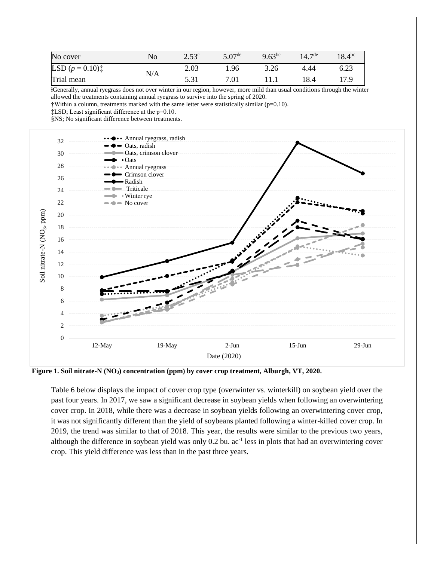| No cover           | No  | 2.53 <sup>c</sup> | $5.07$ <sup>de</sup> | $9.63^{bc}$ | $14.7^{\text{de}}$ | $18.4^{bc}$ |
|--------------------|-----|-------------------|----------------------|-------------|--------------------|-------------|
| LSD $(p = 0.10)^+$ | N/A | 2.03              | 1.96                 | 3.26        | 4.44               | 6.23        |
| Trial mean         |     |                   | 7.01                 |             | 18.4               |             |

ⱡGenerally, annual ryegrass does not over winter in our region, however, more mild than usual conditions through the winter allowed the treatments containing annual ryegrass to survive into the spring of 2020.

†Within a column, treatments marked with the same letter were statistically similar (p=0.10).

‡LSD; Least significant difference at the p=0.10.

§NS; No significant difference between treatments.



**Figure 1. Soil nitrate-N (NO3) concentration (ppm) by cover crop treatment, Alburgh, VT, 2020.**

Table 6 below displays the impact of cover crop type (overwinter vs. winterkill) on soybean yield over the past four years. In 2017, we saw a significant decrease in soybean yields when following an overwintering cover crop. In 2018, while there was a decrease in soybean yields following an overwintering cover crop, it was not significantly different than the yield of soybeans planted following a winter-killed cover crop. In 2019, the trend was similar to that of 2018. This year, the results were similar to the previous two years, although the difference in soybean yield was only 0.2 bu. ac<sup>-1</sup> less in plots that had an overwintering cover crop. This yield difference was less than in the past three years.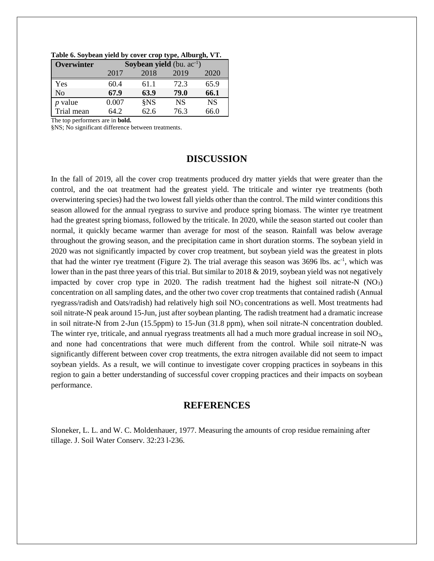| Overwinter     | <b>Soybean yield</b> (bu. $ac^{-1}$ ) |      |           |           |  |  |  |  |
|----------------|---------------------------------------|------|-----------|-----------|--|--|--|--|
|                | 2017                                  | 2018 | 2019      | 2020      |  |  |  |  |
| Yes            | 60.4                                  | 61.1 | 72.3      | 65.9      |  |  |  |  |
| N <sub>o</sub> | 67.9                                  | 63.9 | 79.0      | 66.1      |  |  |  |  |
| $p$ value      | 0.007                                 | §NS  | <b>NS</b> | <b>NS</b> |  |  |  |  |
| Trial mean     | 64 2.                                 | 62.6 | 76.3      | 66.0      |  |  |  |  |

**Table 6. Soybean yield by cover crop type, Alburgh, VT.**

The top performers are in **bold.**

§NS; No significant difference between treatments.

## **DISCUSSION**

In the fall of 2019, all the cover crop treatments produced dry matter yields that were greater than the control, and the oat treatment had the greatest yield. The triticale and winter rye treatments (both overwintering species) had the two lowest fall yields other than the control. The mild winter conditions this season allowed for the annual ryegrass to survive and produce spring biomass. The winter rye treatment had the greatest spring biomass, followed by the triticale. In 2020, while the season started out cooler than normal, it quickly became warmer than average for most of the season. Rainfall was below average throughout the growing season, and the precipitation came in short duration storms. The soybean yield in 2020 was not significantly impacted by cover crop treatment, but soybean yield was the greatest in plots that had the winter rye treatment (Figure 2). The trial average this season was  $3696$  lbs. ac<sup>-1</sup>, which was lower than in the past three years of this trial. But similar to 2018 & 2019, soybean yield was not negatively impacted by cover crop type in 2020. The radish treatment had the highest soil nitrate-N  $(NO<sub>3</sub>)$ concentration on all sampling dates, and the other two cover crop treatments that contained radish (Annual ryegrass/radish and Oats/radish) had relatively high soil  $NO<sub>3</sub>$  concentrations as well. Most treatments had soil nitrate-N peak around 15-Jun, just after soybean planting. The radish treatment had a dramatic increase in soil nitrate-N from 2-Jun (15.5ppm) to 15-Jun (31.8 ppm), when soil nitrate-N concentration doubled. The winter rye, triticale, and annual ryegrass treatments all had a much more gradual increase in soil NO3, and none had concentrations that were much different from the control. While soil nitrate-N was significantly different between cover crop treatments, the extra nitrogen available did not seem to impact soybean yields. As a result, we will continue to investigate cover cropping practices in soybeans in this region to gain a better understanding of successful cover cropping practices and their impacts on soybean performance.

# **REFERENCES**

Sloneker, L. L. and W. C. Moldenhauer, 1977. Measuring the amounts of crop residue remaining after tillage. J. Soil Water Conserv. 32:23 l-236.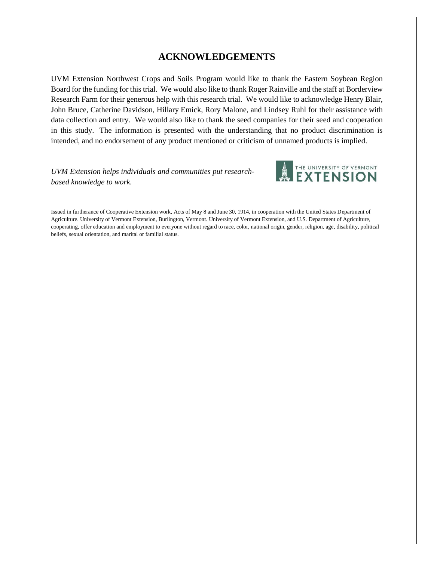# **ACKNOWLEDGEMENTS**

UVM Extension Northwest Crops and Soils Program would like to thank the Eastern Soybean Region Board for the funding for this trial. We would also like to thank Roger Rainville and the staff at Borderview Research Farm for their generous help with this research trial. We would like to acknowledge Henry Blair, John Bruce, Catherine Davidson, Hillary Emick, Rory Malone, and Lindsey Ruhl for their assistance with data collection and entry. We would also like to thank the seed companies for their seed and cooperation in this study. The information is presented with the understanding that no product discrimination is intended, and no endorsement of any product mentioned or criticism of unnamed products is implied.

*UVM Extension helps individuals and communities put researchbased knowledge to work.*



Issued in furtherance of Cooperative Extension work, Acts of May 8 and June 30, 1914, in cooperation with the United States Department of Agriculture. University of Vermont Extension, Burlington, Vermont. University of Vermont Extension, and U.S. Department of Agriculture, cooperating, offer education and employment to everyone without regard to race, color, national origin, gender, religion, age, disability, political beliefs, sexual orientation, and marital or familial status.